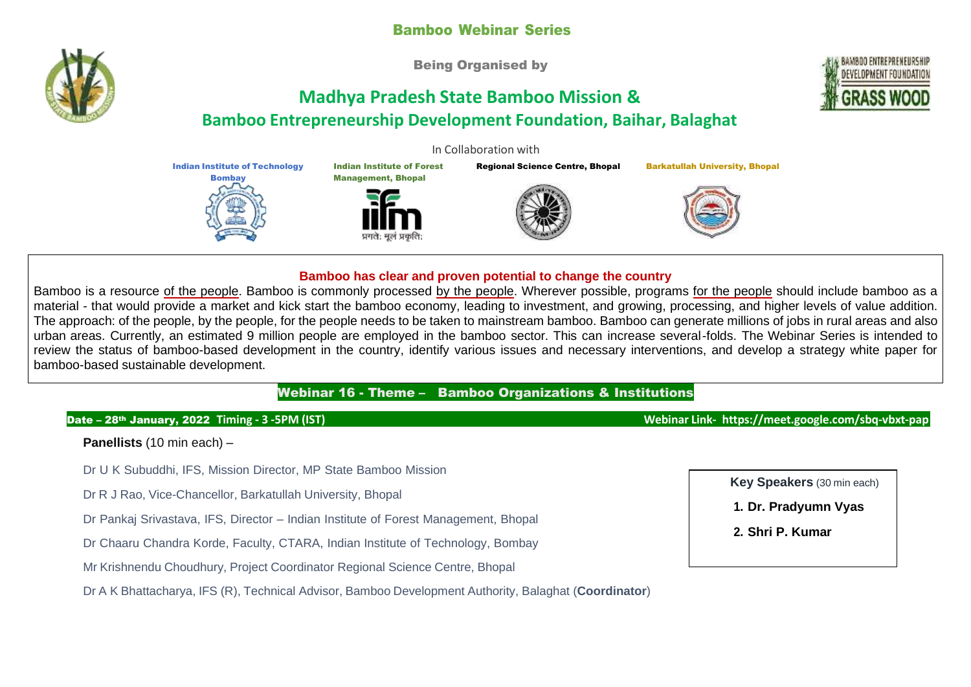# Bamboo Webinar Series

Being Organised by

# **Madhya Pradesh State Bamboo Mission & Bamboo Entrepreneurship Development Foundation, Baihar, Balaghat**

Indian Institute of Forest Management, Bhopal

In Collaboration with

Regional Science Centre, Bhopal Barkatullah University, Bhopal



#### **Bamboo has clear and proven potential to change the country**

Bamboo is a resource of the people. Bamboo is commonly processed by the people. Wherever possible, programs for the people should include bamboo as a material - that would provide a market and kick start the bamboo economy, leading to investment, and growing, processing, and higher levels of value addition. The approach: of the people, by the people, for the people needs to be taken to mainstream bamboo. Bamboo can generate millions of jobs in rural areas and also urban areas. Currently, an estimated 9 million people are employed in the bamboo sector. This can increase several-folds. The Webinar Series is intended to review the status of bamboo-based development in the country, identify various issues and necessary interventions, and develop a strategy white paper for bamboo-based sustainable development.

## Webinar 16 - Theme – Bamboo Organizations & Institutions

#### Date – 28th January, 2022 **Timing - 3 -5PM (IST) Webinar Link- https://meet.google.com/sbq-vbxt-pap**

**Panellists** (10 min each) –

- Dr U K Subuddhi, IFS, Mission Director, MP State Bamboo Mission
- Dr R J Rao, Vice-Chancellor, Barkatullah University, Bhopal

Indian Institute of Technology **Bombay** 

Dr Pankaj Srivastava, IFS, Director – Indian Institute of Forest Management, Bhopal

Dr Chaaru Chandra Korde, Faculty, CTARA, Indian Institute of Technology, Bombay

Mr Krishnendu Choudhury, Project Coordinator Regional Science Centre, Bhopal

Dr A K Bhattacharya, IFS (R), Technical Advisor, Bamboo Development Authority, Balaghat (**Coordinator**)

**Key Speakers** (30 min each)

**1. Dr. Pradyumn Vyas**

**2. Shri P. Kumar**